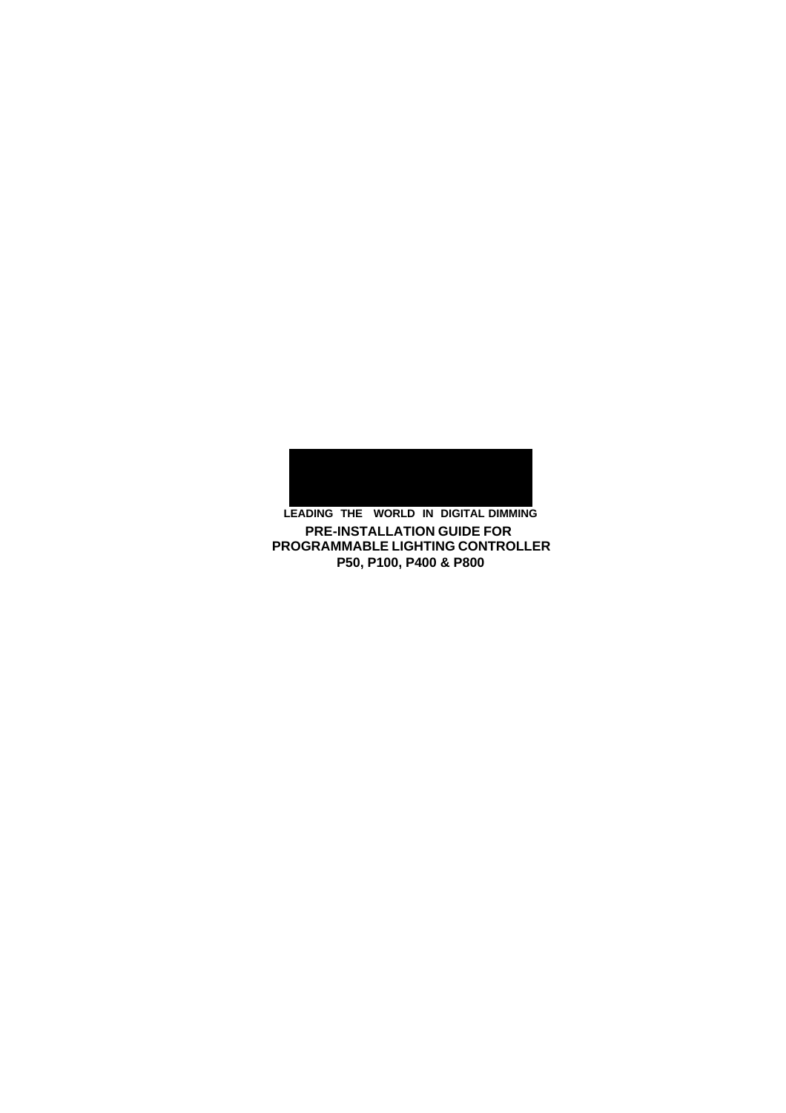

**P50, P100, P400 & P800 LEADING THE WORLD IN DIGITAL DIMMING PRE-INSTALLATION GUIDE FOR PROGRAMMABLE LIGHTING CONTROLLER**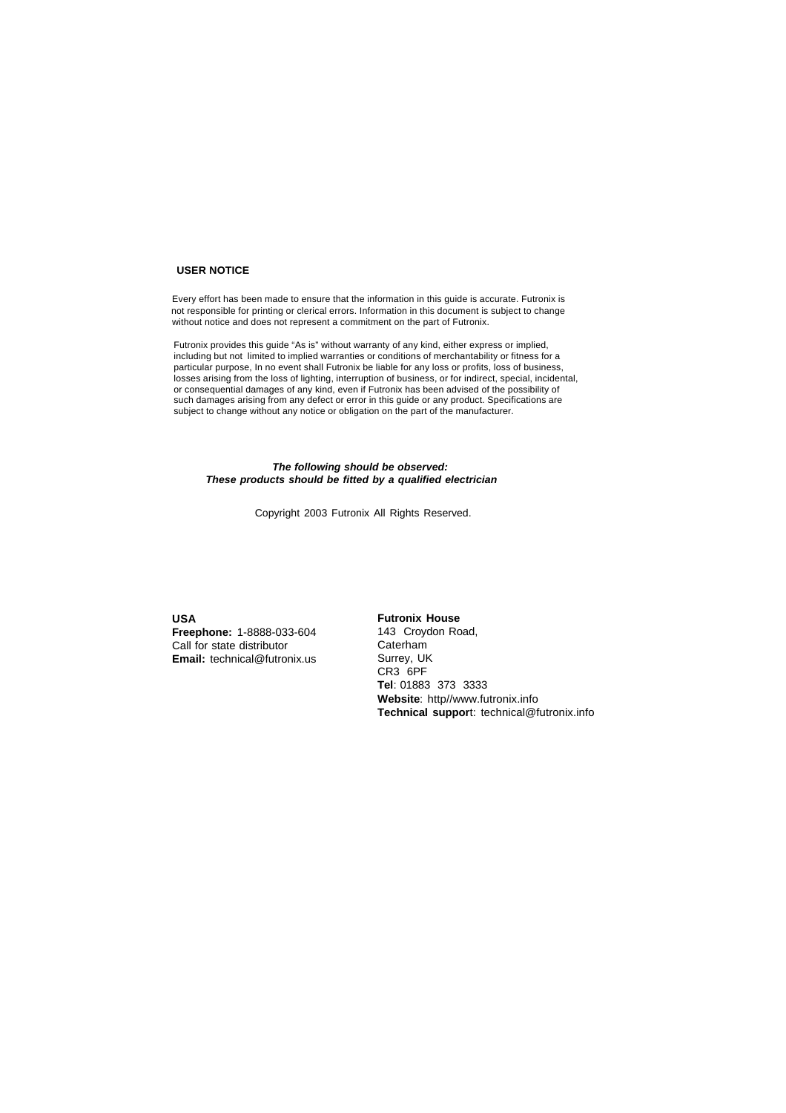#### **USER NOTICE**

 Every effort has been made to ensure that the information in this guide is accurate. Futronix is not responsible for printing or clerical errors. Information in this document is subject to change without notice and does not represent a commitment on the part of Futronix.

Futronix provides this guide "As is" without warranty of any kind, either express or implied, including but not limited to implied warranties or conditions of merchantability or fitness for a particular purpose, In no event shall Futronix be liable for any loss or profits, loss of business, losses arising from the loss of lighting, interruption of business, or for indirect, special, incidental, or consequential damages of any kind, even if Futronix has been advised of the possibility of such damages arising from any defect or error in this guide or any product. Specifications are subject to change without any notice or obligation on the part of the manufacturer.

#### *The following should be observed: These products should be fitted by a qualified electrician*

Copyright 2003 Futronix All Rights Reserved.

**USA Freephone:** 1-8888-033-604 Call for state distributor **Email:** technical@futronix.us

#### **Futronix House**

143 Croydon Road, Caterham Surrey, UK CR3 6PF **Tel**: 01883 373 3333 **Website**: http//www.futronix.info **Technical suppor**t: technical@futronix.info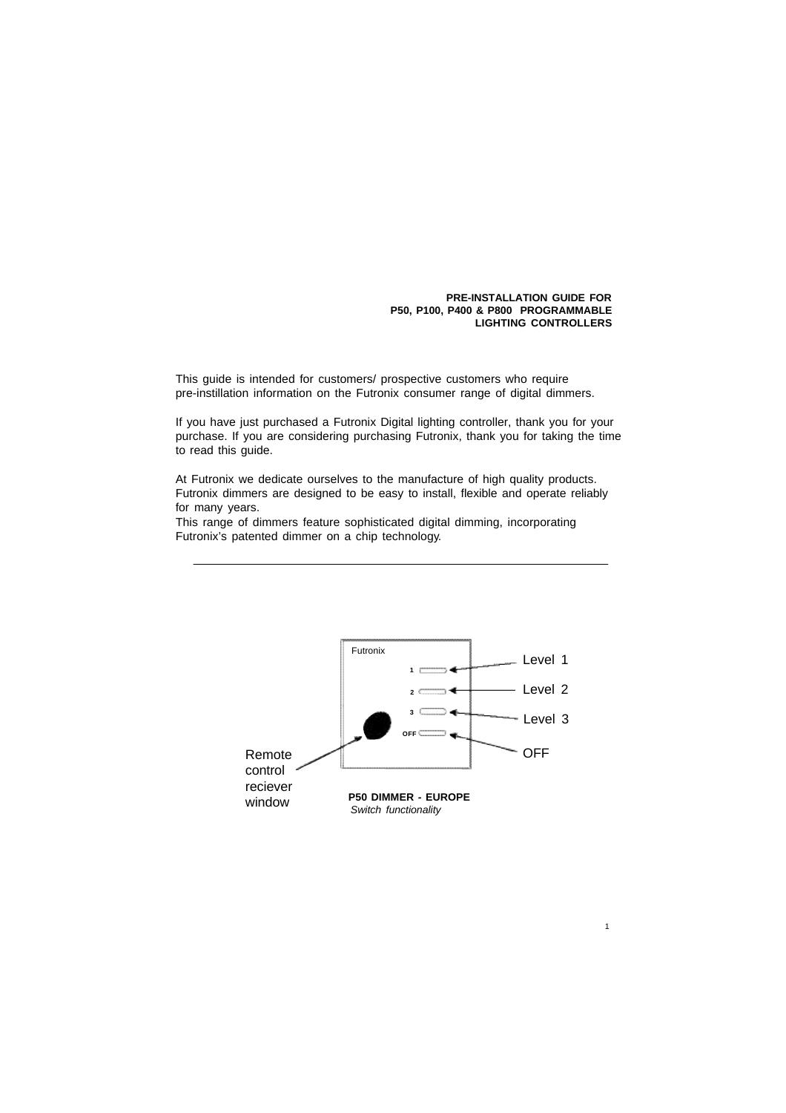#### **PRE-INSTALLATION GUIDE FOR P50, P100, P400 & P800 PROGRAMMABLE LIGHTING CONTROLLERS**

1

This guide is intended for customers/ prospective customers who require pre-instillation information on the Futronix consumer range of digital dimmers.

If you have just purchased a Futronix Digital lighting controller, thank you for your purchase. If you are considering purchasing Futronix, thank you for taking the time to read this guide.

At Futronix we dedicate ourselves to the manufacture of high quality products. Futronix dimmers are designed to be easy to install, flexible and operate reliably for many years.

This range of dimmers feature sophisticated digital dimming, incorporating Futronix's patented dimmer on a chip technology.

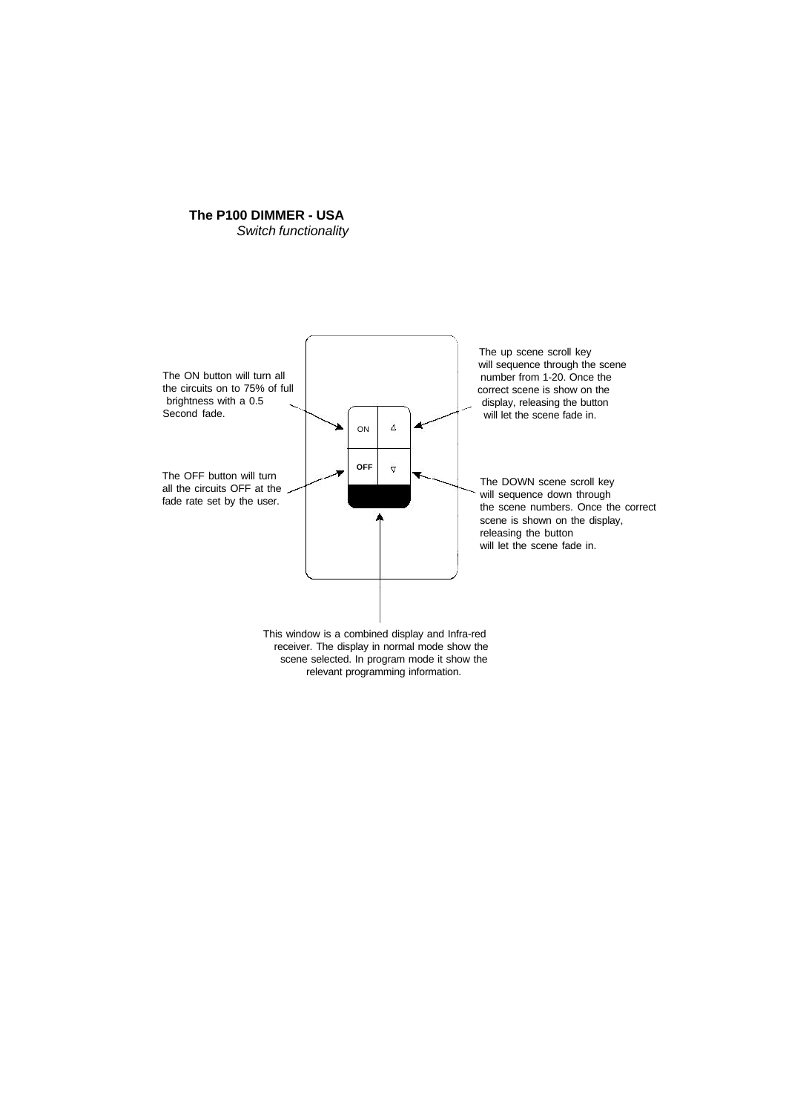# **The P100 DIMMER - USA**

*Switch functionality*

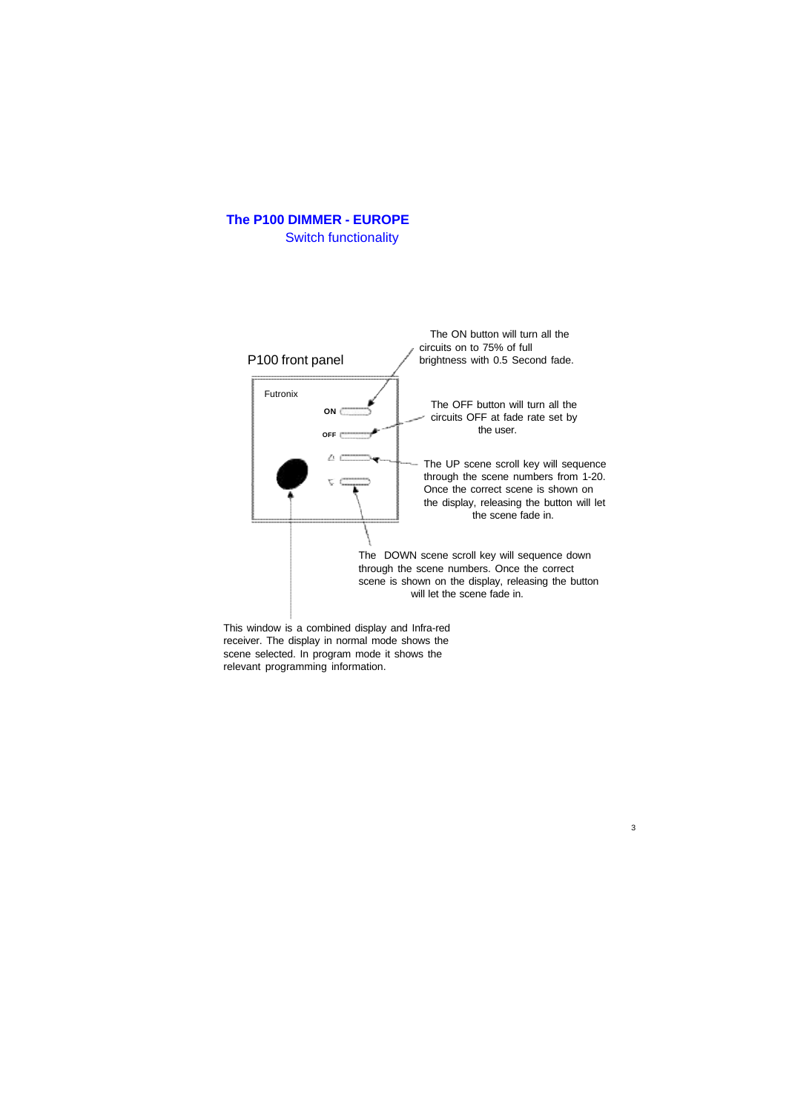



3

This window is a combined display and Infra-red receiver. The display in normal mode shows the scene selected. In program mode it shows the relevant programming information.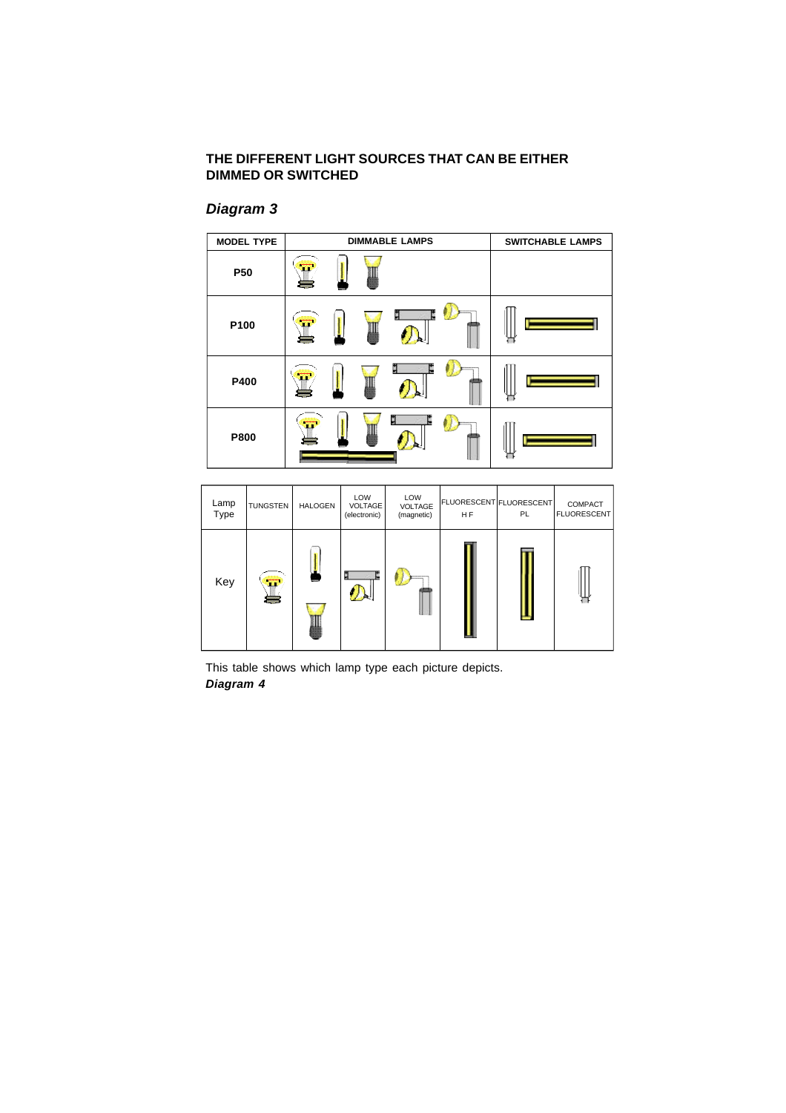## **THE DIFFERENT LIGHT SOURCES THAT CAN BE EITHER DIMMED OR SWITCHED**

## *Diagram 3*



| Lamp<br>Type | <b>TUNGSTEN</b>        | <b>HALOGEN</b> | LOW<br><b>VOLTAGE</b><br>(electronic) | LOW<br><b>VOLTAGE</b><br>(magnetic) | FLUORESCENT FLUORESCENT<br>H <sub>F</sub> | PL | <b>COMPACT</b><br><b>FLUORESCENT</b> |
|--------------|------------------------|----------------|---------------------------------------|-------------------------------------|-------------------------------------------|----|--------------------------------------|
| Key          | π<br><b>CONTRACTOR</b> |                | ij                                    |                                     |                                           |    |                                      |

This table shows which lamp type each picture depicts. *Diagram 4*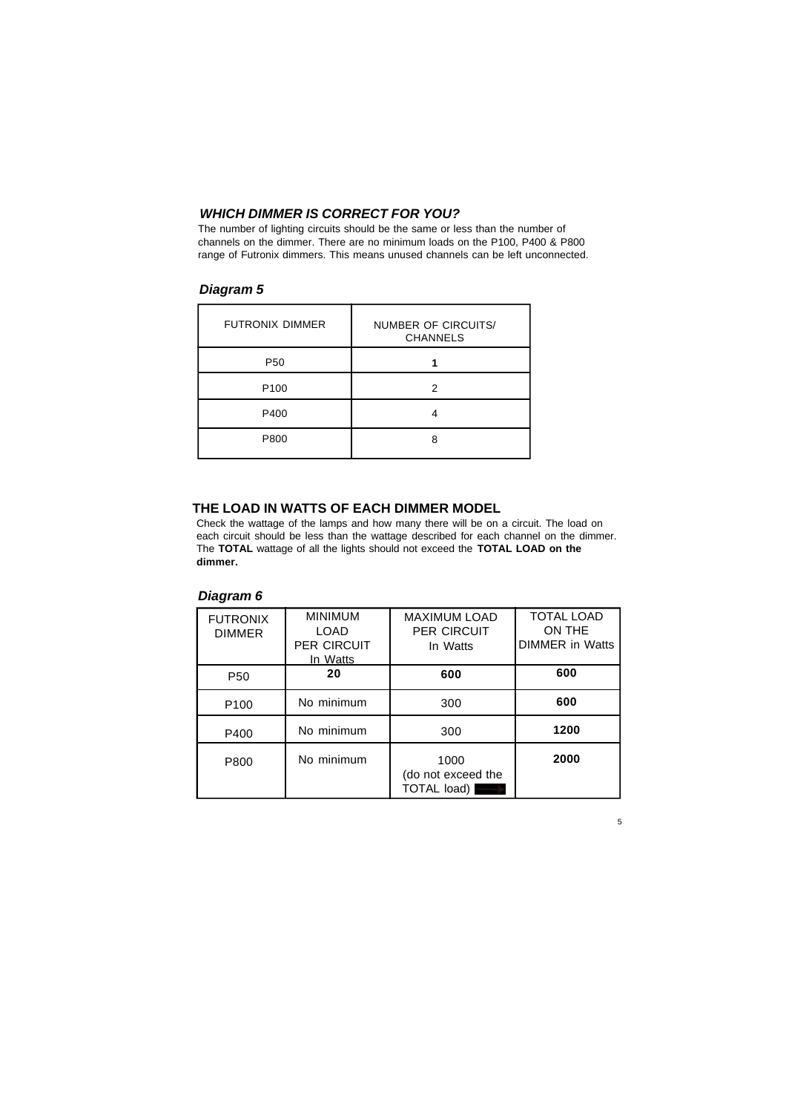## *WHICH DIMMER IS CORRECT FOR YOU?*

The number of lighting circuits should be the same or less than the number of channels on the dimmer. There are no minimum loads on the P100, P400 & P800 range of Futronix dimmers. This means unused channels can be left unconnected.

## *Diagram 5*

| <b>FUTRONIX DIMMER</b> | <b>NUMBER OF CIRCUITS/</b><br><b>CHANNELS</b> |  |  |
|------------------------|-----------------------------------------------|--|--|
| P <sub>50</sub>        |                                               |  |  |
| P <sub>100</sub>       | 2                                             |  |  |
| P400                   |                                               |  |  |
| P800                   | я                                             |  |  |

#### **THE LOAD IN WATTS OF EACH DIMMER MODEL**

Check the wattage of the lamps and how many there will be on a circuit. The load on each circuit should be less than the wattage described for each channel on the dimmer. The **TOTAL** wattage of all the lights should not exceed the **TOTAL LOAD on the dimmer.**

## *Diagram 6*

| <b>FUTRONIX</b><br><b>DIMMER</b> | <b>MINIMUM</b><br>LOAD<br><b>PER CIRCUIT</b><br>In Watts | <b>MAXIMUM LOAD</b><br><b>PER CIRCUIT</b><br>In Watts | <b>TOTAL LOAD</b><br>ON THE<br>DIMMER in Watts |
|----------------------------------|----------------------------------------------------------|-------------------------------------------------------|------------------------------------------------|
| P <sub>50</sub>                  | 20                                                       | 600                                                   | 600                                            |
| P <sub>100</sub>                 | No minimum                                               | 300                                                   | 600                                            |
| P400                             | No minimum                                               | 300                                                   | 1200                                           |
| P800                             | No minimum                                               | 1000<br>(do not exceed the<br>TOTAL load)             | 2000                                           |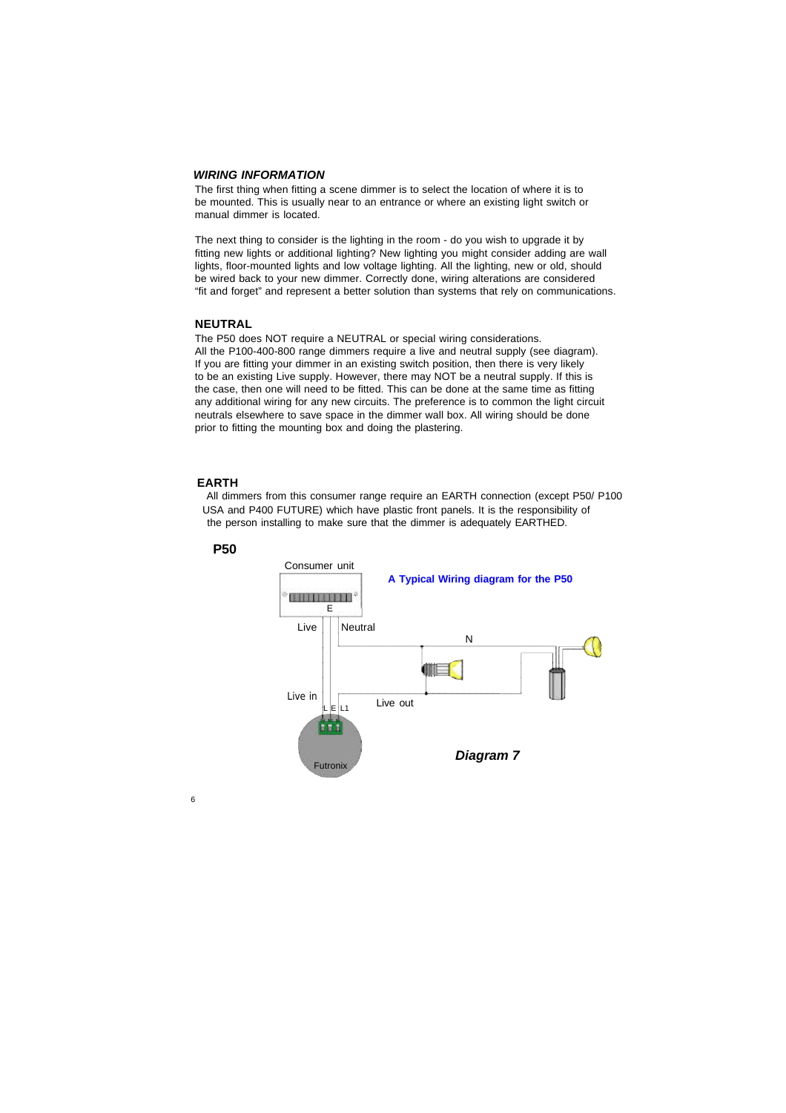#### *WIRING INFORMATION*

The first thing when fitting a scene dimmer is to select the location of where it is to be mounted. This is usually near to an entrance or where an existing light switch or manual dimmer is located.

The next thing to consider is the lighting in the room - do you wish to upgrade it by fitting new lights or additional lighting? New lighting you might consider adding are wall lights, floor-mounted lights and low voltage lighting. All the lighting, new or old, should be wired back to your new dimmer. Correctly done, wiring alterations are considered "fit and forget" and represent a better solution than systems that rely on communications.

#### **NEUTRAL**

The P50 does NOT require a NEUTRAL or special wiring considerations. All the P100-400-800 range dimmers require a live and neutral supply (see diagram). If you are fitting your dimmer in an existing switch position, then there is very likely to be an existing Live supply. However, there may NOT be a neutral supply. If this is the case, then one will need to be fitted. This can be done at the same time as fitting any additional wiring for any new circuits. The preference is to common the light circuit neutrals elsewhere to save space in the dimmer wall box. All wiring should be done prior to fitting the mounting box and doing the plastering.

#### **EARTH**

 All dimmers from this consumer range require an EARTH connection (except P50/ P100 USA and P400 FUTURE) which have plastic front panels. It is the responsibility of the person installing to make sure that the dimmer is adequately EARTHED.



#### **P50**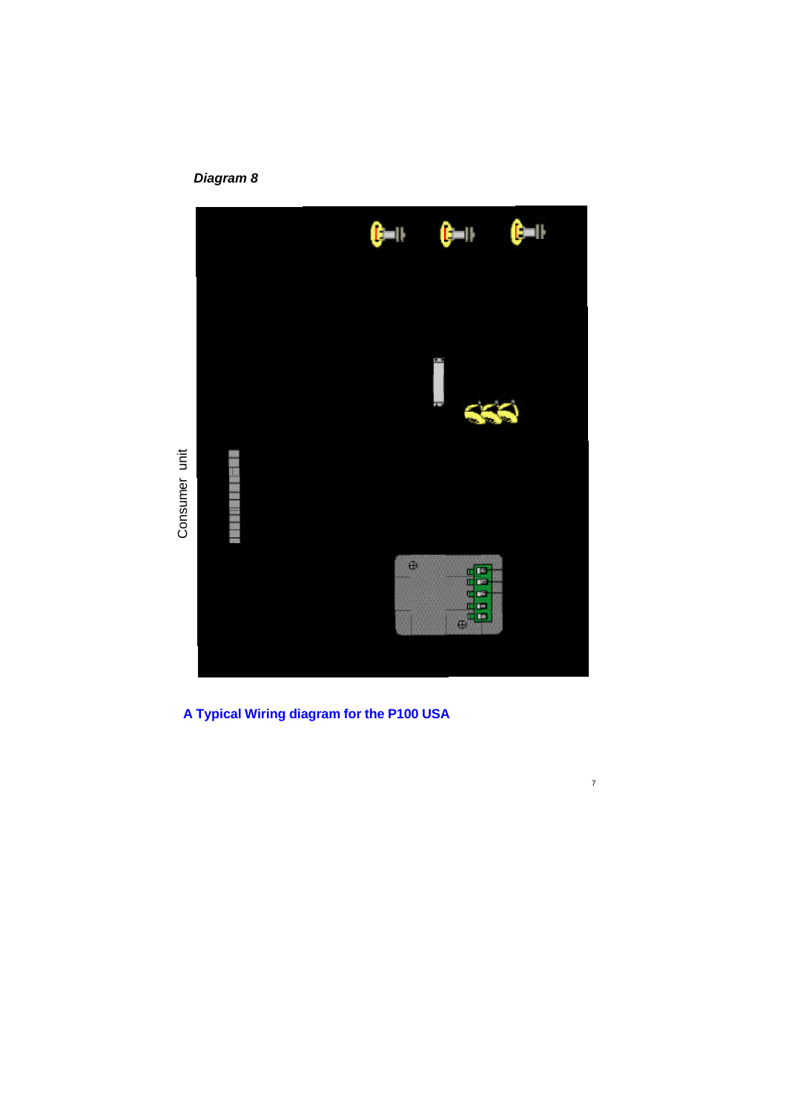# *Diagram 8*



**A Typical Wiring diagram for the P100 USA**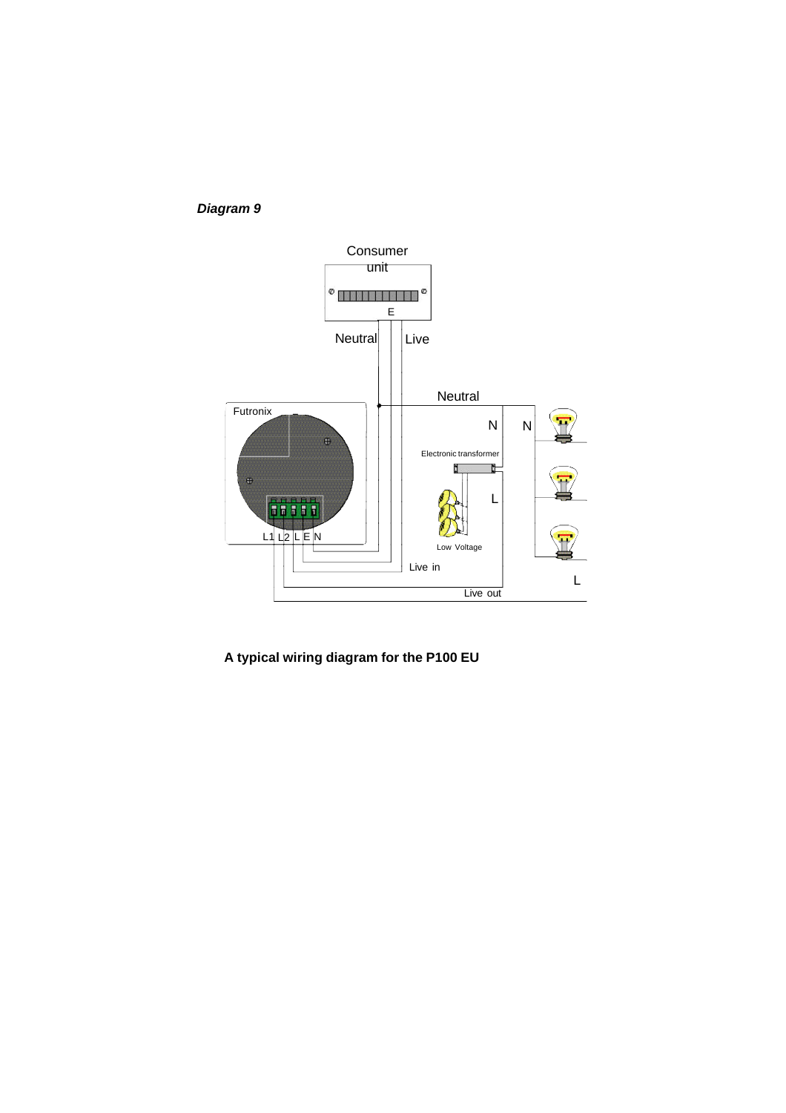*Diagram 9*



**A typical wiring diagram for the P100 EU**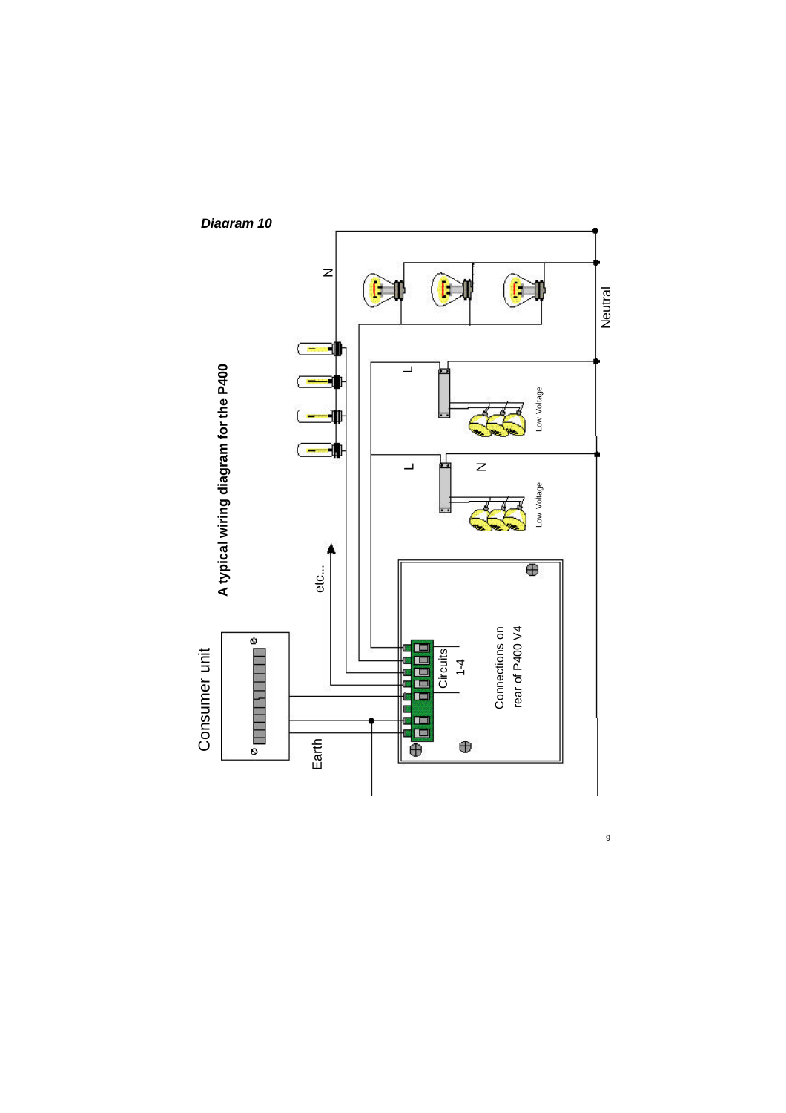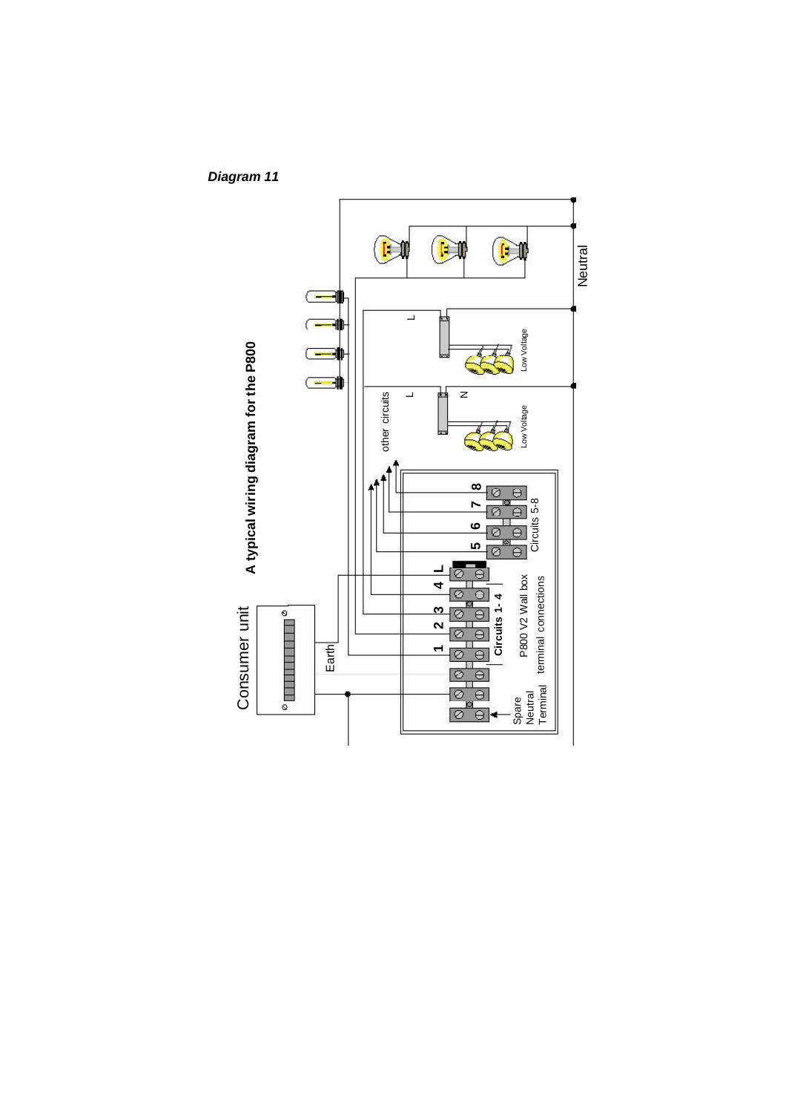*Diagram 11*

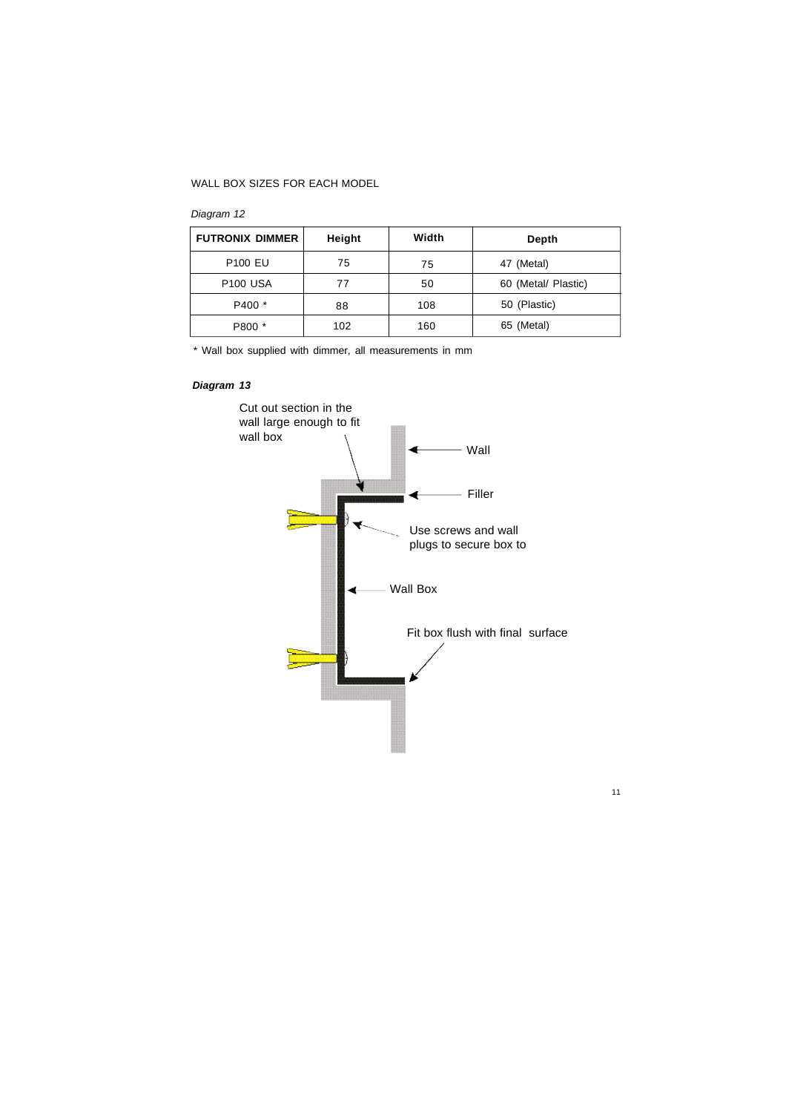## WALL BOX SIZES FOR EACH MODEL

## *Diagram 12*

| <b>FUTRONIX DIMMER</b> | Height | Width | Depth               |
|------------------------|--------|-------|---------------------|
| <b>P100 EU</b>         | 75     | 75    | 47 (Metal)          |
| <b>P100 USA</b>        | 77     | 50    | 60 (Metal/ Plastic) |
| P400 *                 | 88     | 108   | 50 (Plastic)        |
| P800 *                 | 102    | 160   | 65 (Metal)          |

\* Wall box supplied with dimmer, all measurements in mm

## *Diagram 13*